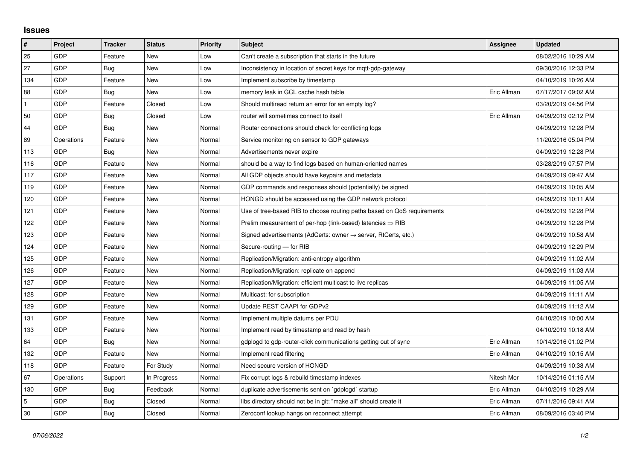## **Issues**

| $\sharp$     | <b>Project</b> | <b>Tracker</b> | <b>Status</b> | <b>Priority</b> | <b>Subject</b>                                                             | <b>Assignee</b> | <b>Updated</b>      |
|--------------|----------------|----------------|---------------|-----------------|----------------------------------------------------------------------------|-----------------|---------------------|
| 25           | GDP            | Feature        | New           | Low             | Can't create a subscription that starts in the future                      |                 | 08/02/2016 10:29 AM |
| 27           | GDP            | Bug            | New           | Low             | Inconsistency in location of secret keys for mqtt-gdp-gateway              |                 | 09/30/2016 12:33 PM |
| 134          | GDP            | Feature        | New           | Low             | Implement subscribe by timestamp                                           |                 | 04/10/2019 10:26 AM |
| 88           | GDP            | Bug            | <b>New</b>    | Low             | memory leak in GCL cache hash table                                        | Eric Allman     | 07/17/2017 09:02 AM |
| $\mathbf{1}$ | GDP            | Feature        | Closed        | Low             | Should multiread return an error for an empty log?                         |                 | 03/20/2019 04:56 PM |
| 50           | GDP            | Bug            | Closed        | Low             | router will sometimes connect to itself                                    | Eric Allman     | 04/09/2019 02:12 PM |
| 44           | GDP            | <b>Bug</b>     | <b>New</b>    | Normal          | Router connections should check for conflicting logs                       |                 | 04/09/2019 12:28 PM |
| 89           | Operations     | Feature        | New           | Normal          | Service monitoring on sensor to GDP gateways                               |                 | 11/20/2016 05:04 PM |
| 113          | GDP            | Bug            | New           | Normal          | Advertisements never expire                                                |                 | 04/09/2019 12:28 PM |
| 116          | GDP            | Feature        | New           | Normal          | should be a way to find logs based on human-oriented names                 |                 | 03/28/2019 07:57 PM |
| 117          | GDP            | Feature        | New           | Normal          | All GDP objects should have keypairs and metadata                          |                 | 04/09/2019 09:47 AM |
| 119          | GDP            | Feature        | New           | Normal          | GDP commands and responses should (potentially) be signed                  |                 | 04/09/2019 10:05 AM |
| 120          | GDP            | Feature        | New           | Normal          | HONGD should be accessed using the GDP network protocol                    |                 | 04/09/2019 10:11 AM |
| 121          | GDP            | Feature        | New           | Normal          | Use of tree-based RIB to choose routing paths based on QoS requirements    |                 | 04/09/2019 12:28 PM |
| 122          | GDP            | Feature        | New           | Normal          | Prelim measurement of per-hop (link-based) latencies $\Rightarrow$ RIB     |                 | 04/09/2019 12:28 PM |
| 123          | GDP            | Feature        | <b>New</b>    | Normal          | Signed advertisements (AdCerts: owner $\rightarrow$ server, RtCerts, etc.) |                 | 04/09/2019 10:58 AM |
| 124          | GDP            | Feature        | New           | Normal          | Secure-routing - for RIB                                                   |                 | 04/09/2019 12:29 PM |
| 125          | <b>GDP</b>     | Feature        | New           | Normal          | Replication/Migration: anti-entropy algorithm                              |                 | 04/09/2019 11:02 AM |
| 126          | GDP            | Feature        | New           | Normal          | Replication/Migration: replicate on append                                 |                 | 04/09/2019 11:03 AM |
| 127          | GDP            | Feature        | New           | Normal          | Replication/Migration: efficient multicast to live replicas                |                 | 04/09/2019 11:05 AM |
| 128          | <b>GDP</b>     | Feature        | New           | Normal          | Multicast: for subscription                                                |                 | 04/09/2019 11:11 AM |
| 129          | GDP            | Feature        | New           | Normal          | Update REST CAAPI for GDPv2                                                |                 | 04/09/2019 11:12 AM |
| 131          | GDP            | Feature        | New           | Normal          | Implement multiple datums per PDU                                          |                 | 04/10/2019 10:00 AM |
| 133          | GDP            | Feature        | New           | Normal          | Implement read by timestamp and read by hash                               |                 | 04/10/2019 10:18 AM |
| 64           | GDP            | Bug            | New           | Normal          | gdplogd to gdp-router-click communications getting out of sync             | Eric Allman     | 10/14/2016 01:02 PM |
| 132          | GDP            | Feature        | New           | Normal          | Implement read filtering                                                   | Eric Allman     | 04/10/2019 10:15 AM |
| 118          | GDP            | Feature        | For Study     | Normal          | Need secure version of HONGD                                               |                 | 04/09/2019 10:38 AM |
| 67           | Operations     | Support        | In Progress   | Normal          | Fix corrupt logs & rebuild timestamp indexes                               | Nitesh Mor      | 10/14/2016 01:15 AM |
| 130          | <b>GDP</b>     | Bug            | Feedback      | Normal          | duplicate advertisements sent on `gdplogd` startup                         | Eric Allman     | 04/10/2019 10:29 AM |
| 5            | GDP            | Bug            | Closed        | Normal          | libs directory should not be in git; "make all" should create it           | Eric Allman     | 07/11/2016 09:41 AM |
| 30           | GDP            | Bug            | Closed        | Normal          | Zeroconf lookup hangs on reconnect attempt                                 | Eric Allman     | 08/09/2016 03:40 PM |